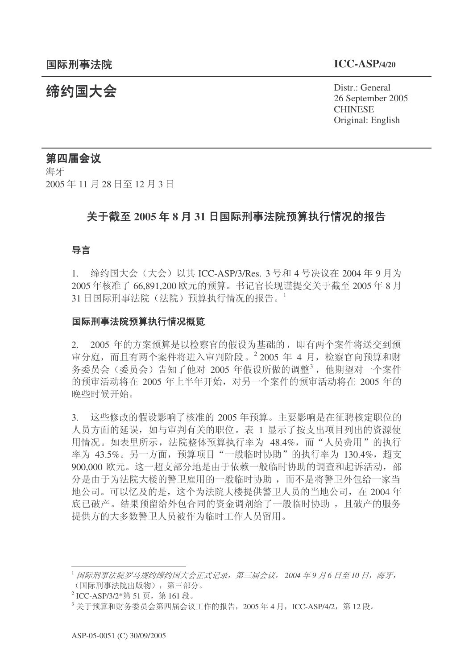**缔约国大会**<br>◆ Distr.: General 26 September 2005 **CHINESE** Original: English

# 第四届会议

海牙 2005年11月28日至12月3日

# **关于截至 2005 年 8 月 31 日国际刑事法院预算执行情况的报告**

### 导言

1. 缔约国大会 (大会) 以其 ICC-ASP/3/Res. 3 号和 4 号决议在 2004 年 9 月为 2005 年核准了 66,891,200 欧元的预算。书记官长现谨提交关于截至 2005 年 8 月 31 日国际刑事法院(法院)预算执行情况的报告。

### 国际刑事法院预算执行情况概览

2. 2005 年的方案预算是以检察官的假设为基础的, 即有两个案件将送交到预 审分庭, 而且有两个案件将进入审判阶段。2 2005 年 4 月, 检察官向预算和财 务委员会(委员会)告知了他对 2005 年假设所做的调整<sup>3</sup>, 他期望对一个案件 的预审活动将在 2005 年上半年开始, 对另一个案件的预审活动将在 2005 年的 晚些时候开始。

3. 这些修改的假设影响了核准的 2005 年预算。主要影响是在征聘核定职位的 人员方面的延误, 如与审判有关的职位。表 1 显示了按支出项目列出的资源使 用情况。如表里所示, 法院整体预算执行率为 48.4%, 而"人员费用"的执行 率为 43.5%。另一方面, 预算项目"一般临时协助"的执行率为 130.4%, 超支 900,000 欧元。这一超支部分地是由于依赖一般临时协助的调查和起诉活动,部 分是由于为法院大楼的警卫雇用的一般临时协助,而不是将警卫外包给一家当 地公司。可以忆及的是, 这个为法院大楼提供警卫人员的当地公司, 在 2004 年 底已破产。结果预留给外包合同的资金调剂给了一般临时协助,且破产的服务 提供方的大多数警卫人员被作为临时工作人员留用。

<sup>&</sup>lt;sup>1</sup> 国际刑事法院罗马规约缔约国大会正式记录, 第三届会议, 2004 年9 月6 日至10 日, 海牙, (国际刑事法院出版物), 第三部分。

<sup>&</sup>lt;sup>2</sup> ICC-ASP/3/2\*第 51 页,第 161 段。

 $3$ 关于预算和财务委员会第四届会议工作的报告, 2005年4月, ICC-ASP/4/2, 第12 段。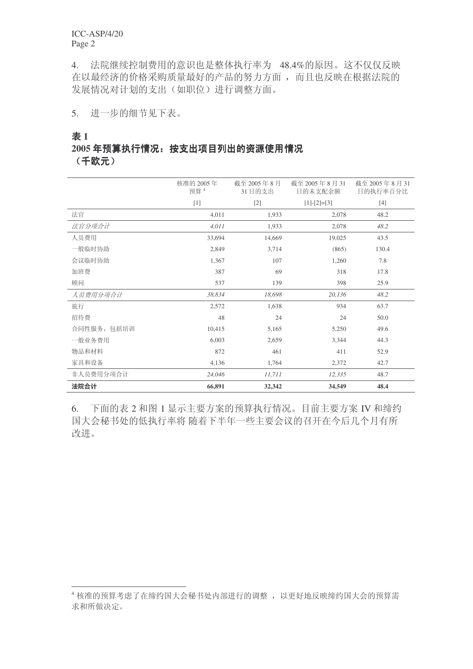ICC-ASP/4/20 Page 2

4. 法院继续控制费用的意识也是整体执行率为 48.4%的原因。这不仅仅反映 在以最经济的价格采购质量最好的产品的努力方面,而且也反映在根据法院的 发展情况对计划的支出(如职位)进行调整方面。

5. 进一步的细节见下表。

### 㸼 **1**

# 2005年预算执行情况: 按支出项目列出的资源使用情况

(千欧元)

|             | 核准的 2005年<br>预算 4 | 截至 2005年8月<br>31日的支出 | 截至 2005年8月31<br>日的未支配余额 | 截至 2005年8月31<br>日的执行率百分比 |
|-------------|-------------------|----------------------|-------------------------|--------------------------|
|             | $[1]$             | $[2]$                | $[1]-[2]=[3]$           | $[4]$                    |
| 法官          | 4,011             | 1,933                | 2,078                   | 48.2                     |
| 法官分项合计      | 4,011             | 1,933                | 2,078                   | 48.2                     |
| 人员费用        | 33,694            | 14,669               | 19,025                  | 43.5                     |
| 一般临时协助      | 2,849             | 3,714                | (865)                   | 130.4                    |
| 会议临时协助      | 1,367             | 107                  | 1,260                   | 7.8                      |
| 加班费         | 387               | 69                   | 318                     | 17.8                     |
| 顾问          | 537               | 139                  | 398                     | 25.9                     |
| 人员费用分项合计    | 38,834            | 18,698               | 20,136                  | 48.2                     |
| 旅行          | 2,572             | 1,638                | 934                     | 63.7                     |
| 招待费         | 48                | 24                   | 24                      | 50.0                     |
| 合同性服务, 包括培训 | 10,415            | 5,165                | 5,250                   | 49.6                     |
| 一般业务费用      | 6,003             | 2,659                | 3,344                   | 44.3                     |
| 物品和材料       | 872               | 461                  | 411                     | 52.9                     |
| 家具和设备       | 4,136             | 1,764                | 2,372                   | 42.7                     |
| 非人员费用分项合计   | 24,046            | 11,711               | 12,335                  | 48.7                     |
| 法院合计        | 66,891            | 32,342               | 34,549                  | 48.4                     |

6. 下面的表 2 和图 1 显示主要方案的预算执行情况。目前主要方案 IV 和缔约 国大会秘书处的低执行率将随着下半年一些主要会议的召开在今后几个月有所 改进。

<sup>4</sup> 核准的预算考虑了在缔约国大会秘书处内部进行的调整, 以更好地反映缔约国大会的预算需 求和所做决定。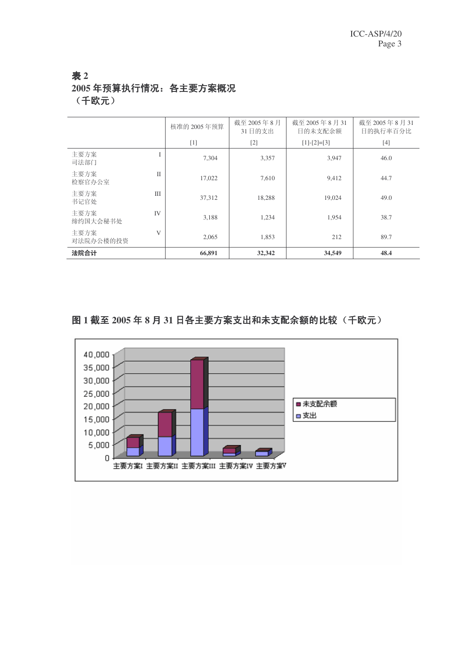# 㸼 **2** 2005年预算执行情况: 各主要方案概况 (千欧元)

|                   |              | 核准的 2005年预算 | 截至 2005年8月<br>31日的支出 | 截至 2005年8月31<br>日的未支配余额 | 截至 2005年8月31<br>日的执行率百分比 |
|-------------------|--------------|-------------|----------------------|-------------------------|--------------------------|
|                   |              | $[1]$       | $[2]$                | $[1]-[2]=[3]$           | $[4]$                    |
| 主要方案<br>司法部门      | T            | 7,304       | 3,357                | 3,947                   | 46.0                     |
| 主要方案<br>检察官办公室    | $\mathbf{I}$ | 17,022      | 7,610                | 9.412                   | 44.7                     |
| 主要方案<br>书记官处      | IΙI          | 37,312      | 18,288               | 19.024                  | 49.0                     |
| 主要方案<br>缔约国大会秘书处  | IV           | 3,188       | 1,234                | 1,954                   | 38.7                     |
| 主要方案<br>对法院办公楼的投资 | V            | 2,065       | 1,853                | 212                     | 89.7                     |
| 法院合计              |              | 66,891      | 32,342               | 34,549                  | 48.4                     |

# 图1截至2005年8月31日各主要方案支出和未支配余额的比较(千欧元)